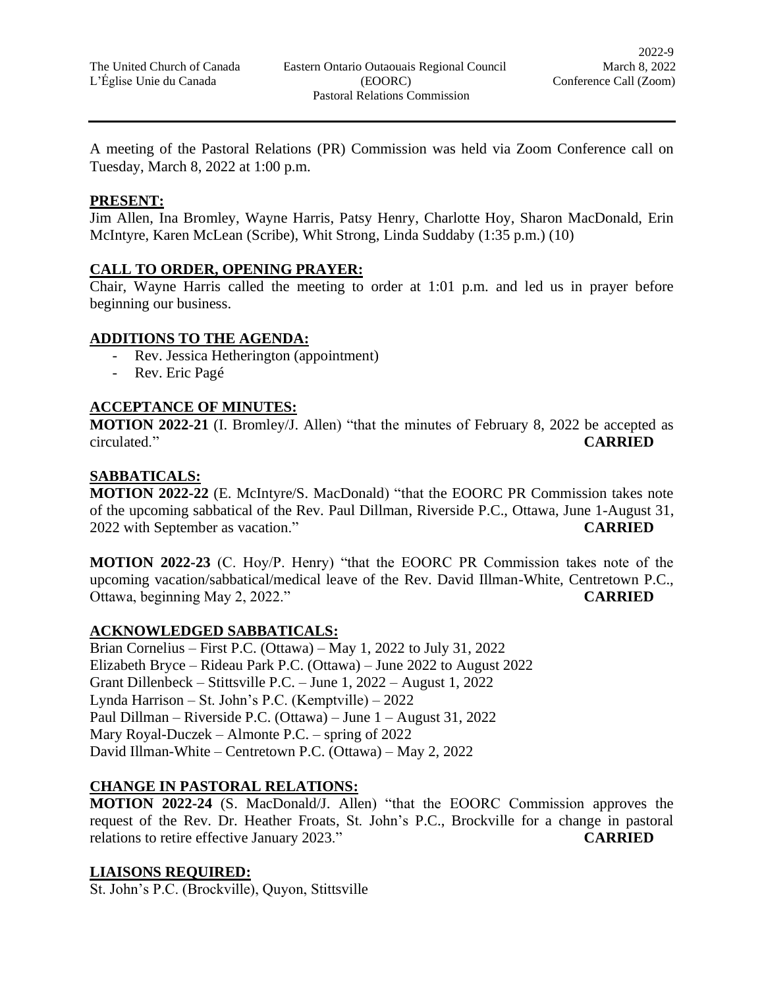A meeting of the Pastoral Relations (PR) Commission was held via Zoom Conference call on Tuesday, March 8, 2022 at 1:00 p.m.

#### **PRESENT:**

Jim Allen, Ina Bromley, Wayne Harris, Patsy Henry, Charlotte Hoy, Sharon MacDonald, Erin McIntyre, Karen McLean (Scribe), Whit Strong, Linda Suddaby (1:35 p.m.) (10)

### **CALL TO ORDER, OPENING PRAYER:**

Chair, Wayne Harris called the meeting to order at 1:01 p.m. and led us in prayer before beginning our business.

#### **ADDITIONS TO THE AGENDA:**

- Rev. Jessica Hetherington (appointment)
- Rev. Eric Pagé

# **ACCEPTANCE OF MINUTES:**

**MOTION 2022-21** (I. Bromley/J. Allen) "that the minutes of February 8, 2022 be accepted as circulated." **CARRIED**

#### **SABBATICALS:**

**MOTION 2022-22** (E. McIntyre/S. MacDonald) "that the EOORC PR Commission takes note of the upcoming sabbatical of the Rev. Paul Dillman, Riverside P.C., Ottawa, June 1-August 31, 2022 with September as vacation." **CARRIED**

**MOTION 2022-23** (C. Hoy/P. Henry) "that the EOORC PR Commission takes note of the upcoming vacation/sabbatical/medical leave of the Rev. David Illman-White, Centretown P.C., Ottawa, beginning May 2, 2022." **CARRIED**

### **ACKNOWLEDGED SABBATICALS:**

Brian Cornelius – First P.C. (Ottawa) – May 1, 2022 to July 31, 2022 Elizabeth Bryce – Rideau Park P.C. (Ottawa) – June 2022 to August 2022 Grant Dillenbeck – Stittsville P.C. – June 1, 2022 – August 1, 2022 Lynda Harrison – St. John's P.C. (Kemptville) – 2022 Paul Dillman – Riverside P.C. (Ottawa) – June 1 – August 31, 2022 Mary Royal-Duczek – Almonte P.C. – spring of 2022 David Illman-White – Centretown P.C. (Ottawa) – May 2, 2022

### **CHANGE IN PASTORAL RELATIONS:**

**MOTION 2022-24** (S. MacDonald/J. Allen) "that the EOORC Commission approves the request of the Rev. Dr. Heather Froats, St. John's P.C., Brockville for a change in pastoral relations to retire effective January 2023." **CARRIED**

### **LIAISONS REQUIRED:**

St. John's P.C. (Brockville), Quyon, Stittsville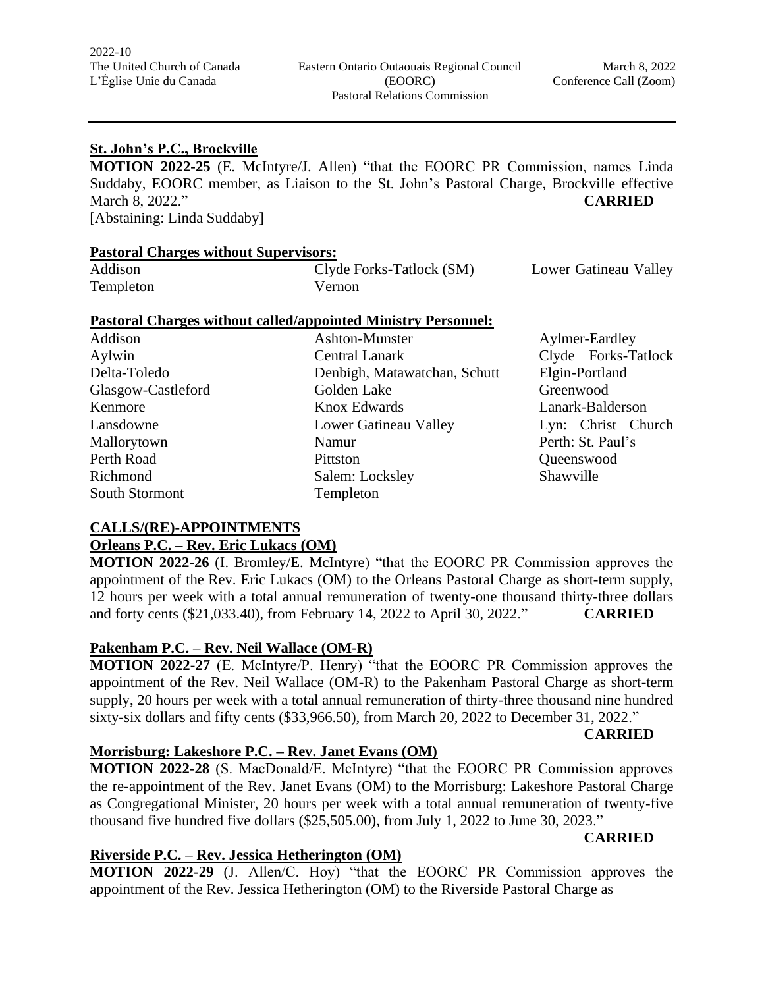#### **St. John's P.C., Brockville**

**MOTION 2022-25** (E. McIntyre/J. Allen) "that the EOORC PR Commission, names Linda Suddaby, EOORC member, as Liaison to the St. John's Pastoral Charge, Brockville effective March 8, 2022." **CARRIED**

[Abstaining: Linda Suddaby]

#### **Pastoral Charges without Supervisors:**

| Addison   | Clyde Forks-Tatlock (SM) | Lower Gatineau Valley |
|-----------|--------------------------|-----------------------|
| Templeton | Vernon                   |                       |

#### **Pastoral Charges without called/appointed Ministry Personnel:**

| Addison            | Ashton-Munster               | Aylmer-Eardley      |
|--------------------|------------------------------|---------------------|
| Aylwin             | Central Lanark               | Clyde Forks-Tatlock |
| Delta-Toledo       | Denbigh, Matawatchan, Schutt | Elgin-Portland      |
| Glasgow-Castleford | Golden Lake                  | Greenwood           |
| Kenmore            | Knox Edwards                 | Lanark-Balderson    |
| Lansdowne          | Lower Gatineau Valley        | Lyn: Christ Church  |
| Mallorytown        | Namur                        | Perth: St. Paul's   |
| Perth Road         | Pittston                     | Queenswood          |
| Richmond           | Salem: Locksley              | Shawville           |
| South Stormont     | Templeton                    |                     |

# **CALLS/(RE)-APPOINTMENTS**

## **Orleans P.C. – Rev. Eric Lukacs (OM)**

**MOTION 2022-26** (I. Bromley/E. McIntyre) "that the EOORC PR Commission approves the appointment of the Rev. Eric Lukacs (OM) to the Orleans Pastoral Charge as short-term supply, 12 hours per week with a total annual remuneration of twenty-one thousand thirty-three dollars and forty cents (\$21,033.40), from February 14, 2022 to April 30, 2022." **CARRIED**

### **Pakenham P.C. – Rev. Neil Wallace (OM-R)**

**MOTION 2022-27** (E. McIntyre/P. Henry) "that the EOORC PR Commission approves the appointment of the Rev. Neil Wallace (OM-R) to the Pakenham Pastoral Charge as short-term supply, 20 hours per week with a total annual remuneration of thirty-three thousand nine hundred sixty-six dollars and fifty cents (\$33,966.50), from March 20, 2022 to December 31, 2022."

**CARRIED**

# **Morrisburg: Lakeshore P.C. – Rev. Janet Evans (OM)**

**MOTION 2022-28** (S. MacDonald/E. McIntyre) "that the EOORC PR Commission approves the re-appointment of the Rev. Janet Evans (OM) to the Morrisburg: Lakeshore Pastoral Charge as Congregational Minister, 20 hours per week with a total annual remuneration of twenty-five thousand five hundred five dollars (\$25,505.00), from July 1, 2022 to June 30, 2023."

# **CARRIED**

### **Riverside P.C. – Rev. Jessica Hetherington (OM)**

**MOTION 2022-29** (J. Allen/C. Hoy) "that the EOORC PR Commission approves the appointment of the Rev. Jessica Hetherington (OM) to the Riverside Pastoral Charge as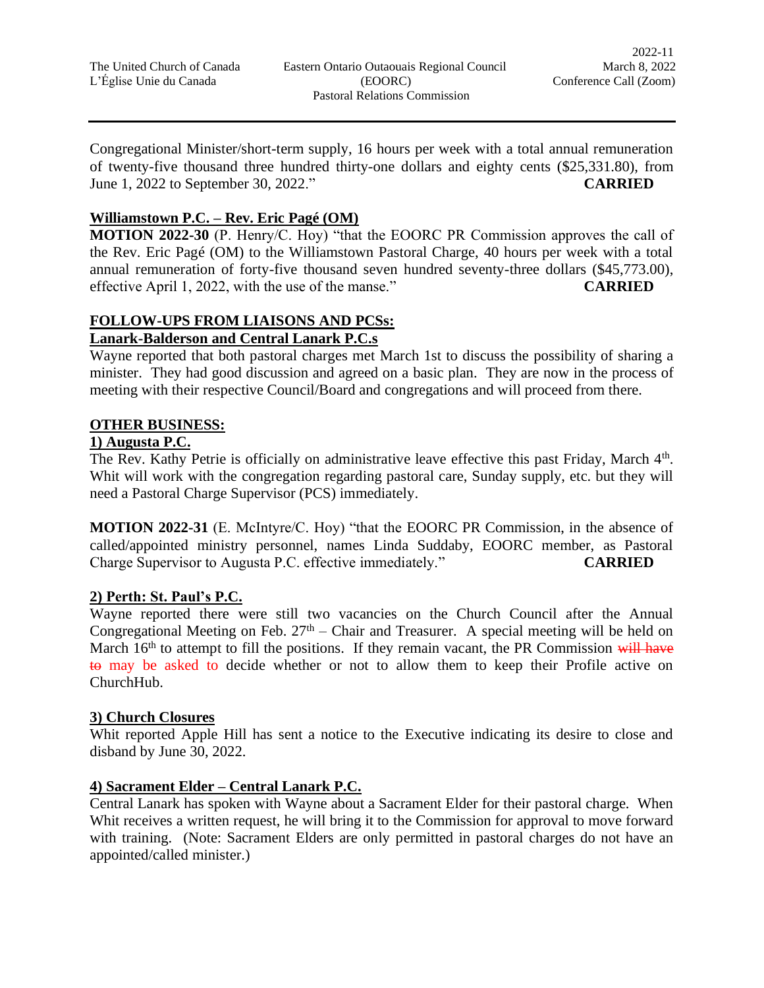Congregational Minister/short-term supply, 16 hours per week with a total annual remuneration of twenty-five thousand three hundred thirty-one dollars and eighty cents (\$25,331.80), from June 1, 2022 to September 30, 2022." **CARRIED**

# **Williamstown P.C. – Rev. Eric Pagé (OM)**

**MOTION 2022-30** (P. Henry/C. Hoy) "that the EOORC PR Commission approves the call of the Rev. Eric Pagé (OM) to the Williamstown Pastoral Charge, 40 hours per week with a total annual remuneration of forty-five thousand seven hundred seventy-three dollars (\$45,773.00), effective April 1, 2022, with the use of the manse." **CARRIED**

### **FOLLOW-UPS FROM LIAISONS AND PCSs: Lanark-Balderson and Central Lanark P.C.s**

Wayne reported that both pastoral charges met March 1st to discuss the possibility of sharing a minister. They had good discussion and agreed on a basic plan. They are now in the process of meeting with their respective Council/Board and congregations and will proceed from there.

# **OTHER BUSINESS:**

# **1) Augusta P.C.**

The Rev. Kathy Petrie is officially on administrative leave effective this past Friday, March 4<sup>th</sup>. Whit will work with the congregation regarding pastoral care, Sunday supply, etc. but they will need a Pastoral Charge Supervisor (PCS) immediately.

**MOTION 2022-31** (E. McIntyre/C. Hoy) "that the EOORC PR Commission, in the absence of called/appointed ministry personnel, names Linda Suddaby, EOORC member, as Pastoral Charge Supervisor to Augusta P.C. effective immediately." **CARRIED**

# **2) Perth: St. Paul's P.C.**

Wayne reported there were still two vacancies on the Church Council after the Annual Congregational Meeting on Feb.  $27<sup>th</sup>$  – Chair and Treasurer. A special meeting will be held on March  $16<sup>th</sup>$  to attempt to fill the positions. If they remain vacant, the PR Commission will have to may be asked to decide whether or not to allow them to keep their Profile active on ChurchHub.

# **3) Church Closures**

Whit reported Apple Hill has sent a notice to the Executive indicating its desire to close and disband by June 30, 2022.

# **4) Sacrament Elder – Central Lanark P.C.**

Central Lanark has spoken with Wayne about a Sacrament Elder for their pastoral charge. When Whit receives a written request, he will bring it to the Commission for approval to move forward with training. (Note: Sacrament Elders are only permitted in pastoral charges do not have an appointed/called minister.)